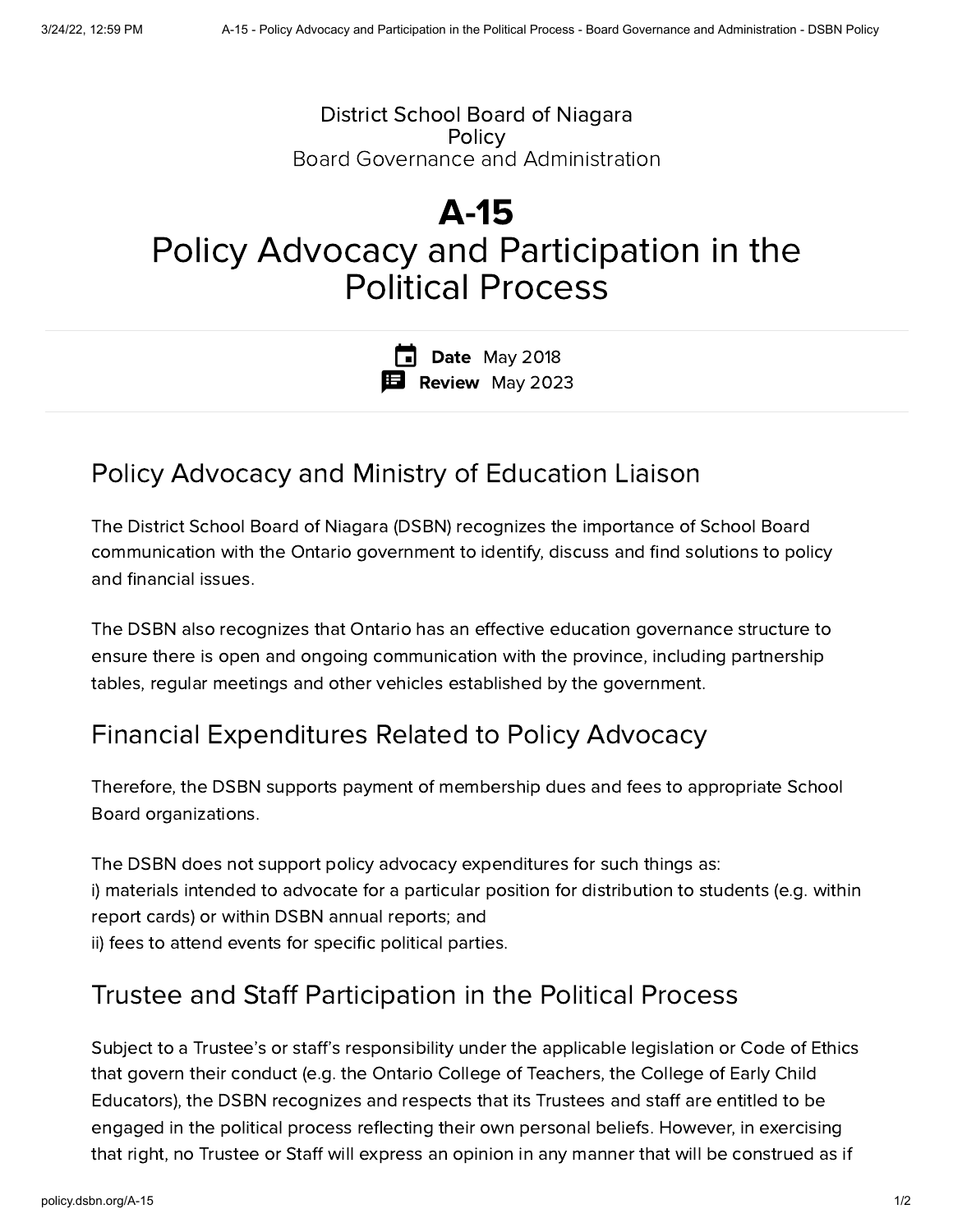### District School Board of Niagara **Policy** Board Governance and Administration

# A-15 Policy Advocacy and Participation in the Political Process

**Date** May 2018 Review May 2023

## Policy Advocacy and Ministry of Education Liaison

The District School Board of Niagara (DSBN) recognizes the importance of School Board communication with the Ontario government to identify, discuss and find solutions to policy and financial issues.

The DSBN also recognizes that Ontario has an effective education governance structure to ensure there is open and ongoing communication with the province, including partnership tables, regular meetings and other vehicles established by the government.

## Financial Expenditures Related to Policy Advocacy

Therefore, the DSBN supports payment of membership dues and fees to appropriate School Board organizations.

The DSBN does not support policy advocacy expenditures for such things as: i) materials intended to advocate for a particular position for distribution to students (e.g. within report cards) or within DSBN annual reports; and ii) fees to attend events for specific political parties.

## Trustee and Staff Participation in the Political Process

Subject to a Trustee's or staff's responsibility under the applicable legislation or Code of Ethics that govern their conduct (e.g. the Ontario College of Teachers, the College of Early Child Educators), the DSBN recognizes and respects that its Trustees and staff are entitled to be engaged in the political process reflecting their own personal beliefs. However, in exercising that right, no Trustee or Staff will express an opinion in any manner that will be construed as if